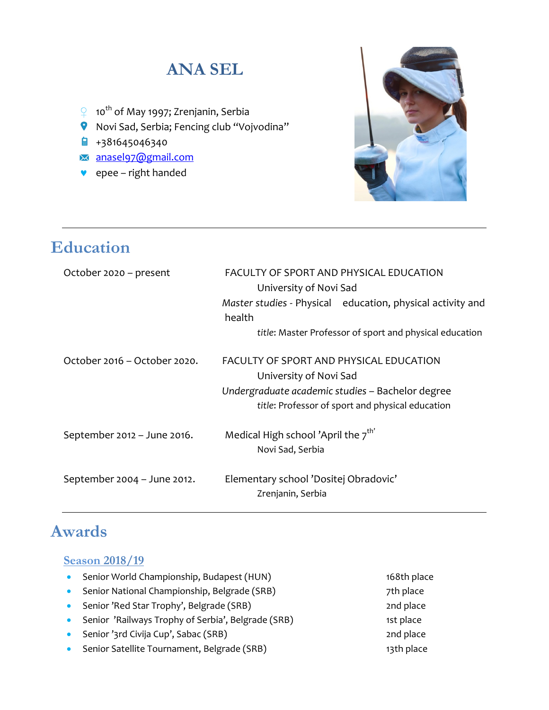# **ANA SEL**

- **♀** 10th of May 1997; Zrenjanin, Serbia
- Novi Sad, Serbia; Fencing club "Vojvodina"
- $\frac{1}{2}$  +381645046340
- [anasel97@gmail.com](mailto:anasel97@gmail.com)
- ♥ epee right handed



# **Education**

| October 2020 – present       | FACULTY OF SPORT AND PHYSICAL EDUCATION<br>University of Novi Sad    |
|------------------------------|----------------------------------------------------------------------|
|                              | Master studies - Physical education, physical activity and<br>health |
|                              | title: Master Professor of sport and physical education              |
| October 2016 – October 2020. | FACULTY OF SPORT AND PHYSICAL EDUCATION<br>University of Novi Sad    |
|                              | Undergraduate academic studies - Bachelor degree                     |
|                              | title: Professor of sport and physical education                     |
| September 2012 - June 2016.  | Medical High school 'April the $7^{\text{th}}$                       |
|                              | Novi Sad, Serbia                                                     |
| September 2004 - June 2012.  | Elementary school 'Dositej Obradovic'                                |
|                              | Zrenjanin, Serbia                                                    |

## **Awards**

#### **Season 2018/19**

• Senior World Championship, Budapest (HUN) 168th place • Senior National Championship, Belgrade (SRB) 7th place • Senior 'Red Star Trophy', Belgrade (SRB) 2nd place • Senior 'Railways Trophy of Serbia', Belgrade (SRB) 1st place • Senior '3rd Civija Cup', Sabac (SRB) 2nd place • Senior Satellite Tournament, Belgrade (SRB) 13th place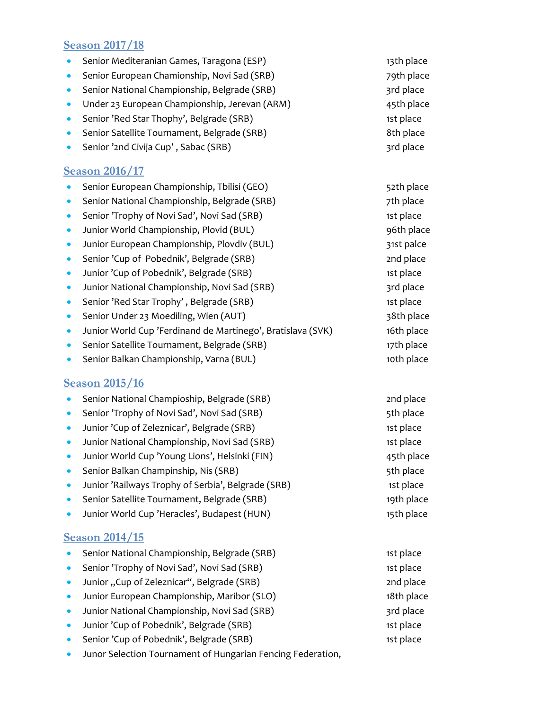### **Season 2017/18**

- Senior Mediteranian Games, Taragona (ESP)
- Senior European Chamionship, Novi Sad (SRB)
- Senior National Championship, Belgrade (SRB)
- Under 23 European Championship, Jerevan (ARM)
- Senior 'Red Star Thophy', Belgrade (SRB)
- Senior Satellite Tournament, Belgrade (SRB)
- Senior '2nd Civija Cup', Sabac (SRB) 3rd place

### **Season 2016/17**

- Senior European Championship, Tbilisi (GEO) 52th place
- Senior National Championship, Belgrade (SRB) 7th place
- Senior 'Trophy of Novi Sad', Novi Sad (SRB) 1st place
- Junior World Championship, Plovid (BUL) 96th place
- Junior European Championship, Plovdiv (BUL) 31st palce
- Senior 'Cup of Pobednik', Belgrade (SRB) 2nd place
- Junior 'Cup of Pobednik', Belgrade (SRB) 1st place
- Junior National Championship, Novi Sad (SRB) 3rd place
- Senior 'Red Star Trophy', Belgrade (SRB) 1st place
- Senior Under 23 Moediling, Wien (AUT) 38th place
- Junior World Cup 'Ferdinand de Martinego', Bratislava (SVK) 16th place
- Senior Satellite Tournament, Belgrade (SRB) 17th place
- Senior Balkan Championship, Varna (BUL) 10th place

#### **Season 2015/16**

- Senior National Champioship, Belgrade (SRB) 2nd place
- Senior 'Trophy of Novi Sad', Novi Sad (SRB) 5th place
- Junior 'Cup of Zeleznicar', Belgrade (SRB) 1st place
- Junior National Championship, Novi Sad (SRB) 1st place
- Junior World Cup 'Young Lions', Helsinki (FIN) 45th place
- Senior Balkan Champinship, Nis (SRB) 5th place
- Junior 'Railways Trophy of Serbia', Belgrade (SRB) 1st place
- Senior Satellite Tournament, Belgrade (SRB) 19th place
- Junior World Cup 'Heracles', Budapest (HUN) 15th place

#### **Season 2014/15**

| Senior National Championship, Belgrade (SRB) | 1st place  |
|----------------------------------------------|------------|
| Senior 'Trophy of Novi Sad', Novi Sad (SRB)  | 1st place  |
| Junior "Cup of Zeleznicar", Belgrade (SRB)   | 2nd place  |
| Junior European Championship, Maribor (SLO)  | 18th place |
| Junior National Championship, Novi Sad (SRB) | 3rd place  |
| Junior 'Cup of Pobednik', Belgrade (SRB)     | 1st place  |
| Senior 'Cup of Pobednik', Belgrade (SRB)     | 1st place  |
|                                              |            |

• Junor Selection Tournament of Hungarian Fencing Federation,

| 13th place                        |
|-----------------------------------|
| 79th place                        |
| 3rd place                         |
| 45th place                        |
| 1st place                         |
| 8th place                         |
| - <b>. .</b><br>$\sim$ 1 $\sim$ 1 |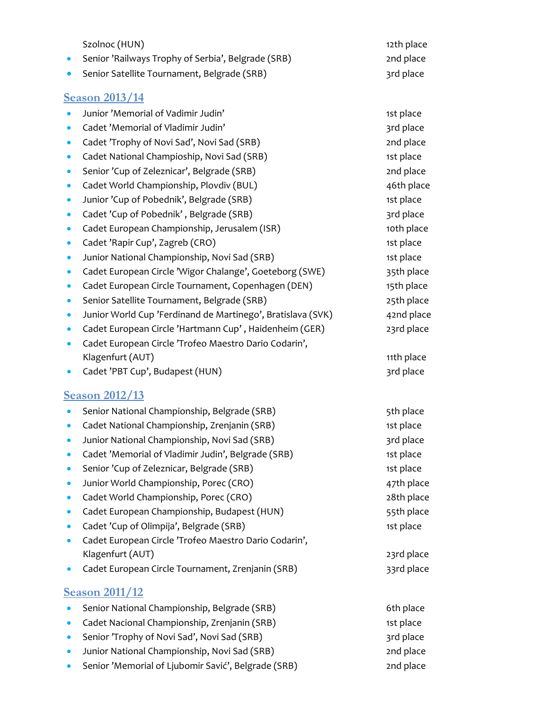| Szolnoc (HUN)                                                            | 12th place |
|--------------------------------------------------------------------------|------------|
| Senior 'Railways Trophy of Serbia', Belgrade (SRB)                       | 2nd place  |
| Senior Satellite Tournament, Belgrade (SRB)<br>$\bullet$                 | 3rd place  |
| <b>Season 2013/14</b>                                                    |            |
| Junior 'Memorial of Vadimir Judin'<br>$\bullet$                          | 1st place  |
| Cadet 'Memorial of Vladimir Judin'<br>$\bullet$                          | 3rd place  |
| Cadet 'Trophy of Novi Sad', Novi Sad (SRB)<br>$\bullet$                  | 2nd place  |
| Cadet National Champioship, Novi Sad (SRB)<br>$\bullet$                  | 1st place  |
| Senior 'Cup of Zeleznicar', Belgrade (SRB)<br>$\bullet$                  | 2nd place  |
| Cadet World Championship, Plovdiv (BUL)<br>$\bullet$                     | 46th place |
| Junior 'Cup of Pobednik', Belgrade (SRB)<br>$\bullet$                    | 1st place  |
| Cadet 'Cup of Pobednik', Belgrade (SRB)<br>$\bullet$                     | 3rd place  |
| Cadet European Championship, Jerusalem (ISR)<br>$\bullet$                | 10th place |
| Cadet 'Rapir Cup', Zagreb (CRO)<br>$\bullet$                             | 1st place  |
| Junior National Championship, Novi Sad (SRB)<br>$\bullet$                | 1st place  |
| Cadet European Circle 'Wigor Chalange', Goeteborg (SWE)<br>$\bullet$     | 35th place |
| Cadet European Circle Tournament, Copenhagen (DEN)<br>$\bullet$          | 15th place |
| Senior Satellite Tournament, Belgrade (SRB)<br>$\bullet$                 | 25th place |
| Junior World Cup 'Ferdinand de Martinego', Bratislava (SVK)<br>$\bullet$ | 42nd place |
| Cadet European Circle 'Hartmann Cup', Haidenheim (GER)<br>$\bullet$      | 23rd place |
| Cadet European Circle 'Trofeo Maestro Dario Codarin',<br>$\bullet$       |            |
| Klagenfurt (AUT)                                                         | 11th place |
| Cadet 'PBT Cup', Budapest (HUN)<br>$\bullet$                             | 3rd place  |
| <b>Season 2012/13</b>                                                    |            |
| Senior National Championship, Belgrade (SRB)<br>$\bullet$                | 5th place  |
| Cadet National Championship, Zrenjanin (SRB)                             | 1st place  |
| Junior National Championship, Novi Sad (SRB)                             | 3rd place  |
| Cadet 'Memorial of Vladimir Judin', Belgrade (SRB)<br>$\bullet$          | 1st place  |
| Senior 'Cup of Zeleznicar, Belgrade (SRB)<br>$\bullet$                   | 1st place  |
| Junior World Championship, Porec (CRO)<br>$\bullet$                      | 47th place |
| Cadet World Championship, Porec (CRO)<br>$\bullet$                       | 28th place |
| Cadet European Championship, Budapest (HUN)<br>$\bullet$                 | 55th place |
| Cadet 'Cup of Olimpija', Belgrade (SRB)<br>$\bullet$                     | 1st place  |
| Cadet European Circle 'Trofeo Maestro Dario Codarin',<br>$\bullet$       |            |
| Klagenfurt (AUT)                                                         | 23rd place |
| Cadet European Circle Tournament, Zrenjanin (SRB)<br>$\bullet$           | 33rd place |
| <b>Season 2011/12</b>                                                    |            |
| Senior National Championship, Belgrade (SRB)                             | 6th place  |
| Cadet Nacional Championship, Zrenjanin (SRB)<br>$\bullet$                | 1st place  |
| Senior 'Trophy of Novi Sad', Novi Sad (SRB)<br>$\bullet$                 | 3rd place  |
| Junior National Championship, Novi Sad (SRB)<br>$\bullet$                | 2nd place  |
| Senior 'Memorial of Ljubomir Savić', Belgrade (SRB)<br>$\bullet$         | 2nd place  |
|                                                                          |            |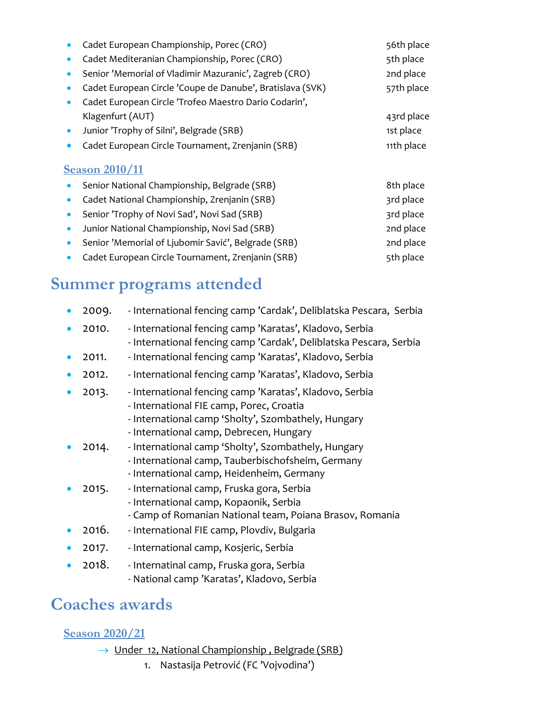|                       | Cadet European Championship, Porec (CRO)                  | 56th place |  |
|-----------------------|-----------------------------------------------------------|------------|--|
|                       | Cadet Mediteranian Championship, Porec (CRO)              | 5th place  |  |
|                       | Senior 'Memorial of Vladimir Mazuranic', Zagreb (CRO)     | 2nd place  |  |
|                       | Cadet European Circle 'Coupe de Danube', Bratislava (SVK) | 57th place |  |
|                       | Cadet European Circle 'Trofeo Maestro Dario Codarin',     |            |  |
|                       | Klagenfurt (AUT)                                          | 43rd place |  |
| $\bullet$             | Junior 'Trophy of Silni', Belgrade (SRB)                  | 1st place  |  |
|                       | Cadet European Circle Tournament, Zrenjanin (SRB)         | 11th place |  |
| <b>Season 2010/11</b> |                                                           |            |  |
|                       | Senior National Championship, Belgrade (SRB)              | 8th place  |  |
|                       | Cadet National Championship, Zrenjanin (SRB)              | 3rd place  |  |
|                       | Senior 'Trophy of Novi Sad', Novi Sad (SRB)               | 3rd place  |  |
| $\bullet$             | Junior National Championship, Novi Sad (SRB)              | 2nd place  |  |
|                       | Senior 'Memorial of Ljubomir Savić', Belgrade (SRB)       | 2nd place  |  |
|                       |                                                           |            |  |

• Cadet European Circle Tournament, Zrenjanin (SRB) 5th place

# **Summer programs attended**

| 2009. | - International fencing camp 'Cardak', Deliblatska Pescara, Serbia                                                                                                                                    |
|-------|-------------------------------------------------------------------------------------------------------------------------------------------------------------------------------------------------------|
| 2010. | - International fencing camp 'Karatas', Kladovo, Serbia<br>- International fencing camp 'Cardak', Deliblatska Pescara, Serbia                                                                         |
| 2011. | - International fencing camp 'Karatas', Kladovo, Serbia                                                                                                                                               |
| 2012. | - International fencing camp 'Karatas', Kladovo, Serbia                                                                                                                                               |
| 2013. | - International fencing camp 'Karatas', Kladovo, Serbia<br>- International FIE camp, Porec, Croatia<br>- International camp 'Sholty', Szombathely, Hungary<br>- International camp, Debrecen, Hungary |
| 2014. | - International camp 'Sholty', Szombathely, Hungary<br>- International camp, Tauberbischofsheim, Germany<br>- International camp, Heidenheim, Germany                                                 |
| 2015. | - International camp, Fruska gora, Serbia<br>- International camp, Kopaonik, Serbia<br>- Camp of Romanian National team, Poiana Brasov, Romania                                                       |
| 2016. | - International FIE camp, Plovdiv, Bulgaria                                                                                                                                                           |
| 2017. | - International camp, Kosjeric, Serbia                                                                                                                                                                |
|       |                                                                                                                                                                                                       |

• 2018. - Internatinal camp, Fruska gora, Serbia - National camp 'Karatas', Kladovo, Serbia

# **Coaches awards**

## **Season 2020/21**

- → Under 12, National Championship, Belgrade (SRB)
	- 1. Nastasija Petrović (FC 'Vojvodina')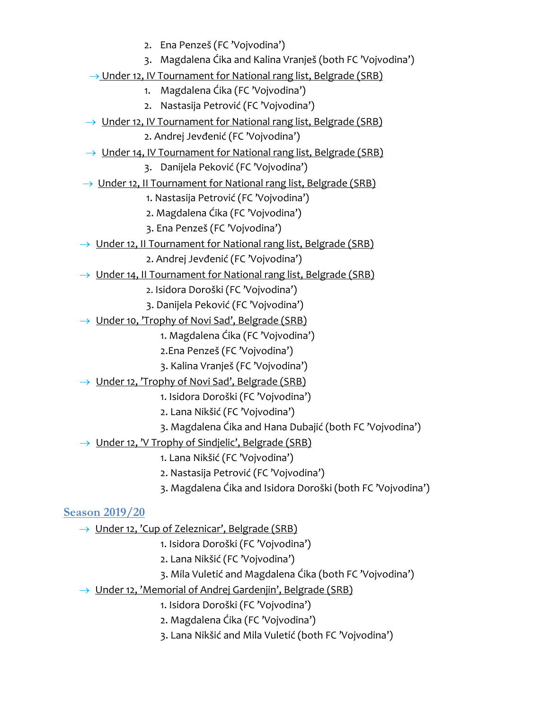2. Ena Penzeš (FC 'Vojvodina') 3. Magdalena Ćika and Kalina Vranješ (both FC 'Vojvodina') → Under 12, IV Tournament for National rang list, Belgrade (SRB) 1. Magdalena Ćika (FC 'Vojvodina') 2. Nastasija Petrović (FC 'Vojvodina') → Under 12, IV Tournament for National rang list, Belgrade (SRB) 2. Andrej Jevđenić (FC 'Vojvodina')  $\rightarrow$  Under 14, IV Tournament for National rang list, Belgrade (SRB) 3. Danijela Peković (FC 'Vojvodina')  $\rightarrow$  Under 12, II Tournament for National rang list, Belgrade (SRB) 1. Nastasija Petrović (FC 'Vojvodina') 2. Magdalena Ćika (FC 'Vojvodina') 3. Ena Penzeš (FC 'Vojvodina') → Under 12, II Tournament for National rang list, Belgrade (SRB) 2. Andrej Jevđenić (FC 'Vojvodina')  $\rightarrow$  Under 14, II Tournament for National rang list, Belgrade (SRB) 2. Isidora Doroški (FC 'Vojvodina') 3. Danijela Peković (FC 'Vojvodina') → Under 10, 'Trophy of Novi Sad', Belgrade (SRB) 1. Magdalena Ćika (FC 'Vojvodina') 2.Ena Penzeš (FC 'Vojvodina') 3. Kalina Vranješ (FC 'Vojvodina')

 $\rightarrow$  Under 12, 'Trophy of Novi Sad', Belgrade (SRB)

1. Isidora Doroški (FC 'Vojvodina')

- 2. Lana Nikšić (FC 'Vojvodina')
- 3. Magdalena Ćika and Hana Dubajić (both FC 'Vojvodina')
- $\rightarrow$  Under 12, 'V Trophy of Sindjelic', Belgrade (SRB)
	- 1. Lana Nikšić (FC 'Vojvodina')
	- 2. Nastasija Petrović (FC 'Vojvodina')
	- 3. Magdalena Ćika and Isidora Doroški (both FC 'Vojvodina')

### **Season 2019/20**

- → Under 12, 'Cup of Zeleznicar', Belgrade (SRB)
	- 1. Isidora Doroški (FC 'Vojvodina')
	- 2. Lana Nikšić (FC 'Vojvodina')
	- 3. Mila Vuletić and Magdalena Ćika (both FC 'Vojvodina')
- → Under 12, 'Memorial of Andrej Gardenjin', Belgrade (SRB)
	- 1. Isidora Doroški (FC 'Vojvodina')
	- 2. Magdalena Ćika (FC 'Vojvodina')
	- 3. Lana Nikšić and Mila Vuletić (both FC 'Vojvodina')